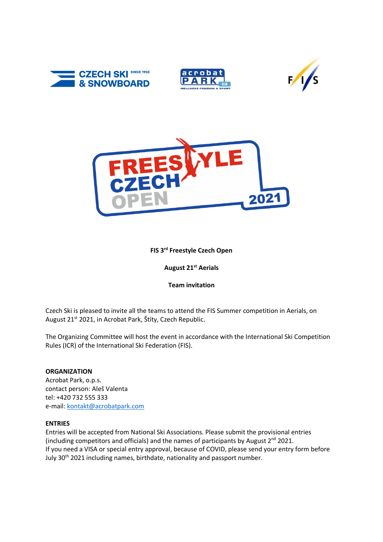







# **FIS 3rd Freestyle Czech Open**

# **August 21 st Aerials**

## **Team invitation**

Czech Ski is pleased to invite all the teams to attend the FIS Summer competition in Aerials, on August 21<sup>st</sup> 2021, in Acrobat Park, Štíty, Czech Republic.

The Organizing Committee will host the event in accordance with the International Ski Competition Rules (ICR) of the International Ski Federation (FIS).

## **ORGANIZATION**

Acrobat Park, o.p.s. contact person: Aleš Valenta tel: +420 732 555 333 e-mail: [kontakt@acrobatpark.com](mailto:kontakt@acrobatpark.com)

#### **ENTRIES**

Entries will be accepted from National Ski Associations. Please submit the provisional entries (including competitors and officials) and the names of participants by August  $2^{nd}$  2021. If you need a VISA or special entry approval, because of COVID, please send your entry form before July 30<sup>th</sup> 2021 including names, birthdate, nationality and passport number.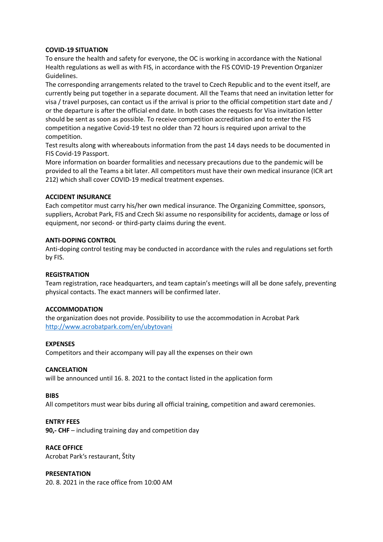## **COVID-19 SITUATION**

To ensure the health and safety for everyone, the OC is working in accordance with the National Health regulations as well as with FIS, in accordance with the FIS COVID-19 Prevention Organizer Guidelines.

The corresponding arrangements related to the travel to Czech Republic and to the event itself, are currently being put together in a separate document. All the Teams that need an invitation letter for visa / travel purposes, can contact us if the arrival is prior to the official competition start date and / or the departure is after the official end date. In both cases the requests for Visa invitation letter should be sent as soon as possible. To receive competition accreditation and to enter the FIS competition a negative Covid-19 test no older than 72 hours is required upon arrival to the competition.

Test results along with whereabouts information from the past 14 days needs to be documented in FIS Covid-19 Passport.

More information on boarder formalities and necessary precautions due to the pandemic will be provided to all the Teams a bit later. All competitors must have their own medical insurance (ICR art 212) which shall cover COVID-19 medical treatment expenses.

#### **ACCIDENT INSURANCE**

Each competitor must carry his/her own medical insurance. The Organizing Committee, sponsors, suppliers, Acrobat Park, FIS and Czech Ski assume no responsibility for accidents, damage or loss of equipment, nor second- or third-party claims during the event.

#### **ANTI-DOPING CONTROL**

Anti-doping control testing may be conducted in accordance with the rules and regulations set forth by FIS.

#### **REGISTRATION**

Team registration, race headquarters, and team captain's meetings will all be done safely, preventing physical contacts. The exact manners will be confirmed later.

#### **ACCOMMODATION**

the organization does not provide. Possibility to use the accommodation in Acrobat Park <http://www.acrobatpark.com/en/ubytovani>

#### **EXPENSES**

Competitors and their accompany will pay all the expenses on their own

#### **CANCELATION**

will be announced until 16. 8. 2021 to the contact listed in the application form

#### **BIBS**

All competitors must wear bibs during all official training, competition and award ceremonies.

#### **ENTRY FEES**

**90,- CHF** – including training day and competition day

# **RACE OFFICE**

Acrobat Park's restaurant, Štíty

## **PRESENTATION**

20. 8. 2021 in the race office from 10:00 AM